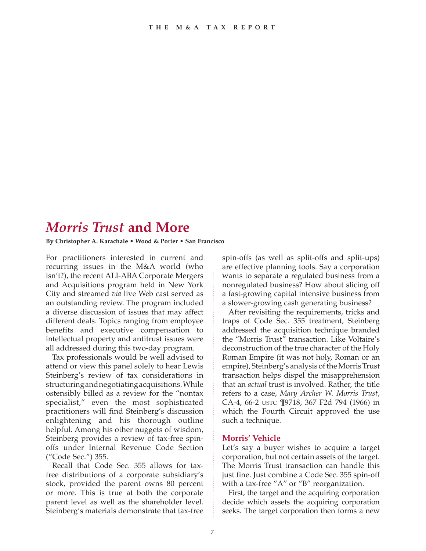## *Morris Trust* **and More**

**By Christopher A. Karachale • Wood & Porter • San Francisco**

For practitioners interested in current and recurring issues in the M&A world (who isn't?), the recent ALI-ABA Corporate Mergers and Acquisitions program held in New York City and streamed *via* live Web cast served as an outstanding review. The program included a diverse discussion of issues that may affect different deals. Topics ranging from employee benefits and executive compensation to intellectual property and antitrust issues were all addressed during this two-day program.

Tax professionals would be well advised to attend or view this panel solely to hear Lewis Steinberg's review of tax considerations in structuring and negotiating acquisitions. While ostensibly billed as a review for the "nontax specialist," even the most sophisticated practitioners will find Steinberg's discussion enlightening and his thorough outline helpful. Among his other nuggets of wisdom, Steinberg provides a review of tax-free spinoffs under Internal Revenue Code Section ("Code Sec.") 355.

Recall that Code Sec. 355 allows for taxfree distributions of a corporate subsidiary's stock, provided the parent owns 80 percent or more. This is true at both the corporate parent level as well as the shareholder level. Steinberg's materials demonstrate that tax-free spin-offs (as well as split-offs and split-ups) are effective planning tools. Say a corporation wants to separate a regulated business from a nonregulated business? How about slicing off a fast-growing capital intensive business from a slower-growing cash generating business?

After revisiting the requirements, tricks and traps of Code Sec. 355 treatment, Steinberg addressed the acquisition technique branded the "Morris Trust" transaction. Like Voltaire's deconstruction of the true character of the Holy Roman Empire (it was not holy, Roman or an empire), Steinberg's analysis of the Morris Trust transaction helps dispel the misapprehension that an *actual* trust is involved. Rather, the title refers to a case, *Mary Archer W. Morris Trust*, CA-4, 66-2 USTC ¶9718, 367 F2d 794 (1966) in which the Fourth Circuit approved the use such a technique.

## **Morris' Vehicle**

Let's say a buyer wishes to acquire a target corporation, but not certain assets of the target. The Morris Trust transaction can handle this just fine. Just combine a Code Sec. 355 spin-off with a tax-free "A" or "B" reorganization.

First, the target and the acquiring corporation decide which assets the acquiring corporation seeks. The target corporation then forms a new